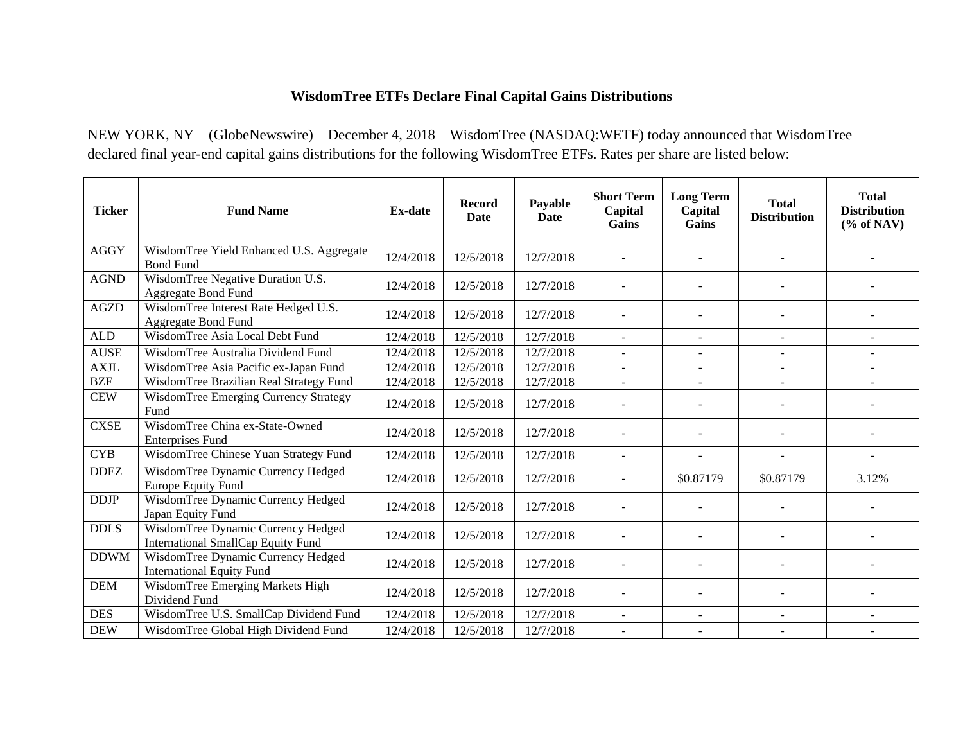## **WisdomTree ETFs Declare Final Capital Gains Distributions**

NEW YORK, NY – (GlobeNewswire) – December 4, 2018 – WisdomTree (NASDAQ:WETF) today announced that WisdomTree declared final year-end capital gains distributions for the following WisdomTree ETFs. Rates per share are listed below:

| <b>Ticker</b> | <b>Fund Name</b>                                                         | <b>Ex-date</b> | <b>Record</b><br>Date | Payable<br>Date | <b>Short Term</b><br>Capital<br>Gains | <b>Long Term</b><br>Capital<br>Gains | <b>Total</b><br><b>Distribution</b> | <b>Total</b><br><b>Distribution</b><br>$(\%$ of NAV) |
|---------------|--------------------------------------------------------------------------|----------------|-----------------------|-----------------|---------------------------------------|--------------------------------------|-------------------------------------|------------------------------------------------------|
| <b>AGGY</b>   | WisdomTree Yield Enhanced U.S. Aggregate<br><b>Bond Fund</b>             | 12/4/2018      | 12/5/2018             | 12/7/2018       |                                       |                                      |                                     |                                                      |
| <b>AGND</b>   | WisdomTree Negative Duration U.S.<br><b>Aggregate Bond Fund</b>          | 12/4/2018      | 12/5/2018             | 12/7/2018       |                                       |                                      |                                     |                                                      |
| <b>AGZD</b>   | WisdomTree Interest Rate Hedged U.S.<br><b>Aggregate Bond Fund</b>       | 12/4/2018      | 12/5/2018             | 12/7/2018       |                                       |                                      |                                     |                                                      |
| ${\rm ALD}$   | WisdomTree Asia Local Debt Fund                                          | 12/4/2018      | 12/5/2018             | 12/7/2018       | $\blacksquare$                        | ÷.                                   | $\sim$                              | $\sim$                                               |
| <b>AUSE</b>   | WisdomTree Australia Dividend Fund                                       | 12/4/2018      | 12/5/2018             | 12/7/2018       | $\mathbf{r}$                          | $\sim$                               | $\mathbf{r}$                        | $\blacksquare$                                       |
| <b>AXJL</b>   | WisdomTree Asia Pacific ex-Japan Fund                                    | 12/4/2018      | 12/5/2018             | 12/7/2018       | $\sim$                                | ÷.                                   | $\sim$                              |                                                      |
| <b>BZF</b>    | WisdomTree Brazilian Real Strategy Fund                                  | 12/4/2018      | 12/5/2018             | 12/7/2018       | $\blacksquare$                        | $\blacksquare$                       | $\overline{\phantom{a}}$            | $\overline{\phantom{a}}$                             |
| <b>CEW</b>    | WisdomTree Emerging Currency Strategy<br>Fund                            | 12/4/2018      | 12/5/2018             | 12/7/2018       |                                       |                                      |                                     |                                                      |
| <b>CXSE</b>   | WisdomTree China ex-State-Owned<br><b>Enterprises Fund</b>               | 12/4/2018      | 12/5/2018             | 12/7/2018       |                                       |                                      | $\overline{\phantom{0}}$            |                                                      |
| <b>CYB</b>    | WisdomTree Chinese Yuan Strategy Fund                                    | 12/4/2018      | 12/5/2018             | 12/7/2018       | $\blacksquare$                        | $\overline{a}$                       | $\overline{a}$                      | $\sim$                                               |
| <b>DDEZ</b>   | WisdomTree Dynamic Currency Hedged<br>Europe Equity Fund                 | 12/4/2018      | 12/5/2018             | 12/7/2018       |                                       | \$0.87179                            | \$0.87179                           | 3.12%                                                |
| <b>DDJP</b>   | WisdomTree Dynamic Currency Hedged<br>Japan Equity Fund                  | 12/4/2018      | 12/5/2018             | 12/7/2018       |                                       |                                      |                                     |                                                      |
| <b>DDLS</b>   | WisdomTree Dynamic Currency Hedged<br>International SmallCap Equity Fund | 12/4/2018      | 12/5/2018             | 12/7/2018       |                                       |                                      |                                     |                                                      |
| <b>DDWM</b>   | WisdomTree Dynamic Currency Hedged<br><b>International Equity Fund</b>   | 12/4/2018      | 12/5/2018             | 12/7/2018       |                                       |                                      |                                     |                                                      |
| <b>DEM</b>    | WisdomTree Emerging Markets High<br>Dividend Fund                        | 12/4/2018      | 12/5/2018             | 12/7/2018       |                                       |                                      |                                     |                                                      |
| <b>DES</b>    | WisdomTree U.S. SmallCap Dividend Fund                                   | 12/4/2018      | 12/5/2018             | 12/7/2018       |                                       |                                      | $\overline{\phantom{a}}$            |                                                      |
| <b>DEW</b>    | WisdomTree Global High Dividend Fund                                     | 12/4/2018      | 12/5/2018             | 12/7/2018       | $\sim$                                |                                      |                                     |                                                      |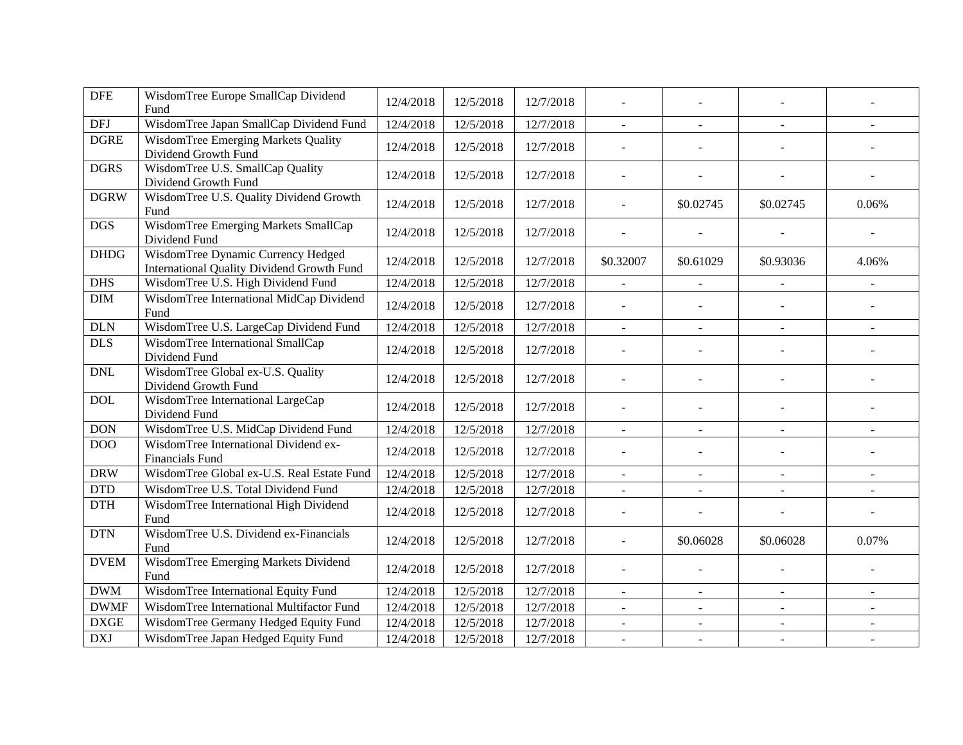| <b>DFE</b>                  | WisdomTree Europe SmallCap Dividend<br>Fund                                      | 12/4/2018 | 12/5/2018 | 12/7/2018 |                          |                          |                          |                |
|-----------------------------|----------------------------------------------------------------------------------|-----------|-----------|-----------|--------------------------|--------------------------|--------------------------|----------------|
| $\ensuremath{\mathsf{DFJ}}$ | WisdomTree Japan SmallCap Dividend Fund                                          | 12/4/2018 | 12/5/2018 | 12/7/2018 | $\equiv$                 | $\blacksquare$           | $\sim$                   |                |
| <b>DGRE</b>                 | <b>WisdomTree Emerging Markets Quality</b><br>Dividend Growth Fund               | 12/4/2018 | 12/5/2018 | 12/7/2018 | $\overline{a}$           |                          |                          |                |
| <b>DGRS</b>                 | WisdomTree U.S. SmallCap Quality<br>Dividend Growth Fund                         | 12/4/2018 | 12/5/2018 | 12/7/2018 | $\overline{a}$           |                          |                          |                |
| <b>DGRW</b>                 | WisdomTree U.S. Quality Dividend Growth<br>Fund                                  | 12/4/2018 | 12/5/2018 | 12/7/2018 |                          | \$0.02745                | \$0.02745                | 0.06%          |
| <b>DGS</b>                  | WisdomTree Emerging Markets SmallCap<br>Dividend Fund                            | 12/4/2018 | 12/5/2018 | 12/7/2018 | $\overline{a}$           |                          |                          |                |
| <b>DHDG</b>                 | WisdomTree Dynamic Currency Hedged<br>International Quality Dividend Growth Fund | 12/4/2018 | 12/5/2018 | 12/7/2018 | \$0.32007                | \$0.61029                | \$0.93036                | 4.06%          |
| <b>DHS</b>                  | WisdomTree U.S. High Dividend Fund                                               | 12/4/2018 | 12/5/2018 | 12/7/2018 | $\blacksquare$           | $\blacksquare$           | $\overline{\phantom{a}}$ | $\blacksquare$ |
| <b>DIM</b>                  | WisdomTree International MidCap Dividend<br>Fund                                 | 12/4/2018 | 12/5/2018 | 12/7/2018 | $\blacksquare$           | $\sim$                   |                          |                |
| <b>DLN</b>                  | WisdomTree U.S. LargeCap Dividend Fund                                           | 12/4/2018 | 12/5/2018 | 12/7/2018 | $\blacksquare$           | $\blacksquare$           | $\blacksquare$           | $\blacksquare$ |
| <b>DLS</b>                  | WisdomTree International SmallCap<br>Dividend Fund                               | 12/4/2018 | 12/5/2018 | 12/7/2018 | $\overline{\phantom{a}}$ |                          |                          |                |
| <b>DNL</b>                  | WisdomTree Global ex-U.S. Quality<br>Dividend Growth Fund                        | 12/4/2018 | 12/5/2018 | 12/7/2018 | $\overline{a}$           |                          |                          |                |
| <b>DOL</b>                  | WisdomTree International LargeCap<br>Dividend Fund                               | 12/4/2018 | 12/5/2018 | 12/7/2018 | $\overline{\phantom{a}}$ |                          |                          |                |
| <b>DON</b>                  | WisdomTree U.S. MidCap Dividend Fund                                             | 12/4/2018 | 12/5/2018 | 12/7/2018 | $\sim$                   |                          |                          |                |
| DOO                         | WisdomTree International Dividend ex-<br>Financials Fund                         | 12/4/2018 | 12/5/2018 | 12/7/2018 | $\blacksquare$           |                          |                          |                |
| <b>DRW</b>                  | WisdomTree Global ex-U.S. Real Estate Fund                                       | 12/4/2018 | 12/5/2018 | 12/7/2018 | $\omega$                 | $\sim$                   | $\blacksquare$           |                |
| <b>DTD</b>                  | WisdomTree U.S. Total Dividend Fund                                              | 12/4/2018 | 12/5/2018 | 12/7/2018 | $\mathbf{r}$             | $\sim$                   | $\sim$                   | $\sim$         |
| <b>DTH</b>                  | WisdomTree International High Dividend<br>Fund                                   | 12/4/2018 | 12/5/2018 | 12/7/2018 | $\overline{a}$           |                          |                          |                |
| <b>DTN</b>                  | WisdomTree U.S. Dividend ex-Financials<br>Fund                                   | 12/4/2018 | 12/5/2018 | 12/7/2018 | $\overline{a}$           | \$0.06028                | \$0.06028                | 0.07%          |
| <b>DVEM</b>                 | WisdomTree Emerging Markets Dividend<br>Fund                                     | 12/4/2018 | 12/5/2018 | 12/7/2018 |                          |                          |                          |                |
| <b>DWM</b>                  | WisdomTree International Equity Fund                                             | 12/4/2018 | 12/5/2018 | 12/7/2018 | $\omega$                 | $\omega$                 | $\equiv$                 | $\equiv$       |
| <b>DWMF</b>                 | WisdomTree International Multifactor Fund                                        | 12/4/2018 | 12/5/2018 | 12/7/2018 |                          |                          |                          |                |
| <b>DXGE</b>                 | WisdomTree Germany Hedged Equity Fund                                            | 12/4/2018 | 12/5/2018 | 12/7/2018 | $\blacksquare$           | $\overline{\phantom{a}}$ | $\blacksquare$           |                |
| <b>DXJ</b>                  | WisdomTree Japan Hedged Equity Fund                                              | 12/4/2018 | 12/5/2018 | 12/7/2018 | $\omega$                 |                          |                          |                |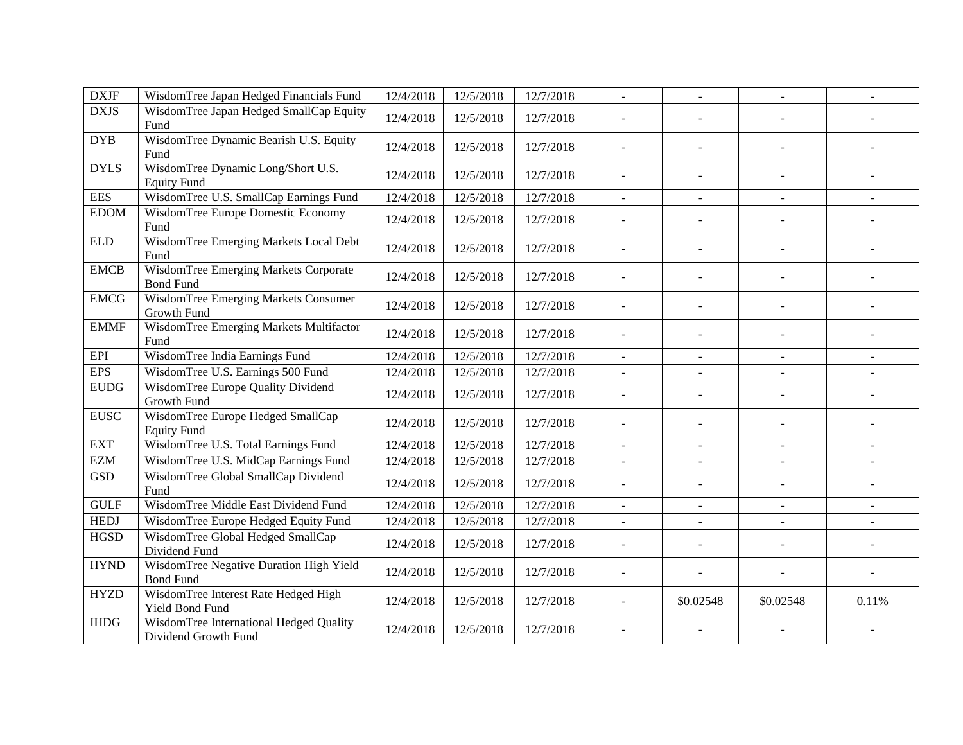| <b>DXJF</b>        | WisdomTree Japan Hedged Financials Fund                         | 12/4/2018 | 12/5/2018 | 12/7/2018 | $\omega$                 | $\blacksquare$ | $\blacksquare$           | $\blacksquare$ |
|--------------------|-----------------------------------------------------------------|-----------|-----------|-----------|--------------------------|----------------|--------------------------|----------------|
| <b>DXJS</b>        | WisdomTree Japan Hedged SmallCap Equity<br>Fund                 | 12/4/2018 | 12/5/2018 | 12/7/2018 |                          |                |                          |                |
| <b>DYB</b>         | WisdomTree Dynamic Bearish U.S. Equity<br>Fund                  | 12/4/2018 | 12/5/2018 | 12/7/2018 |                          |                |                          |                |
| <b>DYLS</b>        | WisdomTree Dynamic Long/Short U.S.<br><b>Equity Fund</b>        | 12/4/2018 | 12/5/2018 | 12/7/2018 | $\overline{\phantom{a}}$ |                |                          |                |
| <b>EES</b>         | WisdomTree U.S. SmallCap Earnings Fund                          | 12/4/2018 | 12/5/2018 | 12/7/2018 | $\omega$                 | $\sim$         | $\sim$                   |                |
| <b>EDOM</b>        | WisdomTree Europe Domestic Economy<br>Fund                      | 12/4/2018 | 12/5/2018 | 12/7/2018 |                          |                |                          |                |
| ${\hbox{\rm ELD}}$ | WisdomTree Emerging Markets Local Debt<br>Fund                  | 12/4/2018 | 12/5/2018 | 12/7/2018 | ÷,                       |                |                          |                |
| <b>EMCB</b>        | WisdomTree Emerging Markets Corporate<br><b>Bond Fund</b>       | 12/4/2018 | 12/5/2018 | 12/7/2018 |                          |                |                          |                |
| <b>EMCG</b>        | <b>WisdomTree Emerging Markets Consumer</b><br>Growth Fund      | 12/4/2018 | 12/5/2018 | 12/7/2018 | $\blacksquare$           |                |                          |                |
| <b>EMMF</b>        | WisdomTree Emerging Markets Multifactor<br>Fund                 | 12/4/2018 | 12/5/2018 | 12/7/2018 | $\sim$                   |                |                          |                |
| EPI                | WisdomTree India Earnings Fund                                  | 12/4/2018 | 12/5/2018 | 12/7/2018 | $\blacksquare$           | $\blacksquare$ | $\blacksquare$           | $\blacksquare$ |
| <b>EPS</b>         | WisdomTree U.S. Earnings 500 Fund                               | 12/4/2018 | 12/5/2018 | 12/7/2018 | $\blacksquare$           |                | $\omega$                 |                |
| <b>EUDG</b>        | WisdomTree Europe Quality Dividend<br>Growth Fund               | 12/4/2018 | 12/5/2018 | 12/7/2018 | $\overline{\phantom{a}}$ |                |                          |                |
| <b>EUSC</b>        | WisdomTree Europe Hedged SmallCap<br><b>Equity Fund</b>         | 12/4/2018 | 12/5/2018 | 12/7/2018 | $\blacksquare$           | $\blacksquare$ | $\overline{\phantom{a}}$ |                |
| <b>EXT</b>         | WisdomTree U.S. Total Earnings Fund                             | 12/4/2018 | 12/5/2018 | 12/7/2018 |                          |                | $\blacksquare$           |                |
| <b>EZM</b>         | WisdomTree U.S. MidCap Earnings Fund                            | 12/4/2018 | 12/5/2018 | 12/7/2018 | $\blacksquare$           | $\blacksquare$ | $\blacksquare$           | $\sim$         |
| <b>GSD</b>         | WisdomTree Global SmallCap Dividend<br>Fund                     | 12/4/2018 | 12/5/2018 | 12/7/2018 | $\blacksquare$           |                |                          |                |
| <b>GULF</b>        | WisdomTree Middle East Dividend Fund                            | 12/4/2018 | 12/5/2018 | 12/7/2018 | $\blacksquare$           | $\blacksquare$ | $\equiv$                 | $\blacksquare$ |
| <b>HEDJ</b>        | WisdomTree Europe Hedged Equity Fund                            | 12/4/2018 | 12/5/2018 | 12/7/2018 | $\blacksquare$           | $\mathbf{r}$   | $\omega$                 | $\omega$       |
| <b>HGSD</b>        | WisdomTree Global Hedged SmallCap<br>Dividend Fund              | 12/4/2018 | 12/5/2018 | 12/7/2018 | $\blacksquare$           |                |                          |                |
| <b>HYND</b>        | WisdomTree Negative Duration High Yield<br><b>Bond Fund</b>     | 12/4/2018 | 12/5/2018 | 12/7/2018 | $\overline{\phantom{a}}$ |                |                          |                |
| <b>HYZD</b>        | WisdomTree Interest Rate Hedged High<br>Yield Bond Fund         | 12/4/2018 | 12/5/2018 | 12/7/2018 |                          | \$0.02548      | \$0.02548                | 0.11%          |
| <b>IHDG</b>        | WisdomTree International Hedged Quality<br>Dividend Growth Fund | 12/4/2018 | 12/5/2018 | 12/7/2018 |                          |                |                          |                |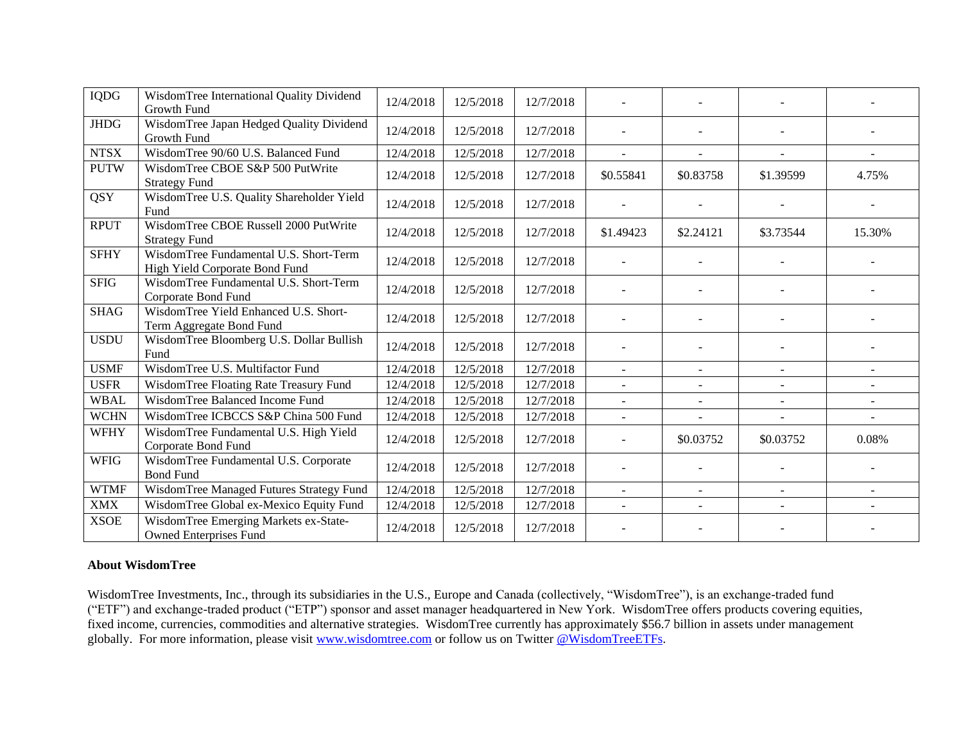| <b>IQDG</b> | WisdomTree International Quality Dividend<br><b>Growth Fund</b>          | 12/4/2018 | 12/5/2018 | 12/7/2018 |                |                |                |                |
|-------------|--------------------------------------------------------------------------|-----------|-----------|-----------|----------------|----------------|----------------|----------------|
| <b>JHDG</b> | WisdomTree Japan Hedged Quality Dividend<br>Growth Fund                  | 12/4/2018 | 12/5/2018 | 12/7/2018 |                |                |                |                |
| <b>NTSX</b> | WisdomTree 90/60 U.S. Balanced Fund                                      | 12/4/2018 | 12/5/2018 | 12/7/2018 | $\sim$         |                |                |                |
| <b>PUTW</b> | WisdomTree CBOE S&P 500 PutWrite<br><b>Strategy Fund</b>                 | 12/4/2018 | 12/5/2018 | 12/7/2018 | \$0.55841      | \$0.83758      | \$1.39599      | 4.75%          |
| <b>QSY</b>  | WisdomTree U.S. Quality Shareholder Yield<br>Fund                        | 12/4/2018 | 12/5/2018 | 12/7/2018 |                |                |                |                |
| <b>RPUT</b> | WisdomTree CBOE Russell 2000 PutWrite<br><b>Strategy Fund</b>            | 12/4/2018 | 12/5/2018 | 12/7/2018 | \$1.49423      | \$2.24121      | \$3.73544      | 15.30%         |
| <b>SFHY</b> | WisdomTree Fundamental U.S. Short-Term<br>High Yield Corporate Bond Fund | 12/4/2018 | 12/5/2018 | 12/7/2018 |                |                |                |                |
| <b>SFIG</b> | WisdomTree Fundamental U.S. Short-Term<br>Corporate Bond Fund            | 12/4/2018 | 12/5/2018 | 12/7/2018 |                |                |                |                |
| <b>SHAG</b> | WisdomTree Yield Enhanced U.S. Short-<br>Term Aggregate Bond Fund        | 12/4/2018 | 12/5/2018 | 12/7/2018 |                |                |                |                |
| <b>USDU</b> | WisdomTree Bloomberg U.S. Dollar Bullish<br>Fund                         | 12/4/2018 | 12/5/2018 | 12/7/2018 |                |                |                |                |
| <b>USMF</b> | WisdomTree U.S. Multifactor Fund                                         | 12/4/2018 | 12/5/2018 | 12/7/2018 | $\blacksquare$ | $\omega$       | $\blacksquare$ | $\blacksquare$ |
| <b>USFR</b> | WisdomTree Floating Rate Treasury Fund                                   | 12/4/2018 | 12/5/2018 | 12/7/2018 |                |                |                |                |
| <b>WBAL</b> | WisdomTree Balanced Income Fund                                          | 12/4/2018 | 12/5/2018 | 12/7/2018 | $\sim$         | $\blacksquare$ |                |                |
| <b>WCHN</b> | WisdomTree ICBCCS S&P China 500 Fund                                     | 12/4/2018 | 12/5/2018 | 12/7/2018 | $\blacksquare$ |                | $\blacksquare$ | $\overline{a}$ |
| <b>WFHY</b> | WisdomTree Fundamental U.S. High Yield<br>Corporate Bond Fund            | 12/4/2018 | 12/5/2018 | 12/7/2018 |                | \$0.03752      | \$0.03752      | 0.08%          |
| <b>WFIG</b> | WisdomTree Fundamental U.S. Corporate<br><b>Bond Fund</b>                | 12/4/2018 | 12/5/2018 | 12/7/2018 |                |                |                |                |
| <b>WTMF</b> | WisdomTree Managed Futures Strategy Fund                                 | 12/4/2018 | 12/5/2018 | 12/7/2018 | $\sim$         | $\sim$         | $\sim$         | $\overline{a}$ |
| <b>XMX</b>  | WisdomTree Global ex-Mexico Equity Fund                                  | 12/4/2018 | 12/5/2018 | 12/7/2018 |                |                |                |                |
| <b>XSOE</b> | WisdomTree Emerging Markets ex-State-<br><b>Owned Enterprises Fund</b>   | 12/4/2018 | 12/5/2018 | 12/7/2018 |                |                |                |                |

## **About WisdomTree**

WisdomTree Investments, Inc., through its subsidiaries in the U.S., Europe and Canada (collectively, "WisdomTree"), is an exchange-traded fund ("ETF") and exchange-traded product ("ETP") sponsor and asset manager headquartered in New York. WisdomTree offers products covering equities, fixed income, currencies, commodities and alternative strategies. WisdomTree currently has approximately \$56.7 billion in assets under management globally. For more information, please visit [www.wisdomtree.com](http://www.wisdomtree.com/) or follow us on Twitter [@WisdomTreeETFs.](https://twitter.com/WisdomTreeETFs)